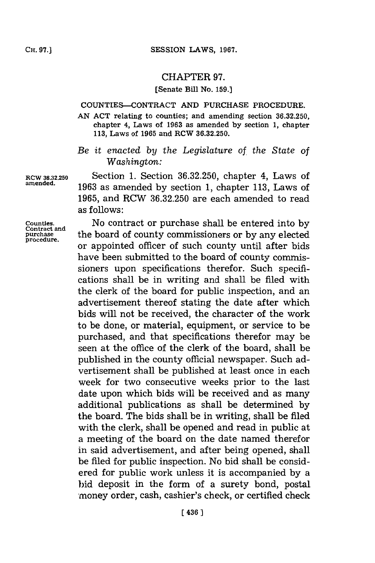## CHAPTER **97.**

## **[Senate Bill No. 159.]**

## **COUNTIES-CONTRACT AND PURCHASE PROCEDURE.**

**AN ACT relating to counties; and amending section 36.32.250, chapter 4, Laws of 1963 as amended by section 1, chapter 113, Laws of 1965 and RCW 36.32.250.**

*Be it enacted by the Legislature of the State of Washington:*

**RCW 36.32.250** Section **1.** Section **36.32.250,** chapter 4, Laws of **amnended. 1963** as amended **by** section **1,** chapter **113,** Laws of **1965,** and RCW **36.32.250** are each amended to read as follows:

**Counties. dNo** contract or purchase shall be entered into **by** purchase the board of county commissioners or by any elected procedure. or appointed officer of such county until after bids have been submitted to the board of county commissioners upon specifications therefor. Such specifications shall be in writing and shall be filed with the clerk of the board for public inspection, and an advertisement thereof stating the date after which bids will not be received, the character of the work to be done, or material, equipment, or service to be purchased, and that specifications therefor may be seen at the office of the clerk of the board, shall be published in the county official newspaper. Such advertisement shall be published at least once in each week for two consecutive weeks prior to the last date upon which bids will be received and as many additional publications as shall be determined **by** the board. The bids shall be in writing, shall be filed with the clerk, shall be opened and read in public at a meeting of the board on the date named therefor in said advertisement, and after being opened, shall be filed for public inspection. No bid shall be considered for public work unless it is accompanied **by** a bid deposit in the form of a surety bond, postal -money order, cash, cashier's check, or certified check